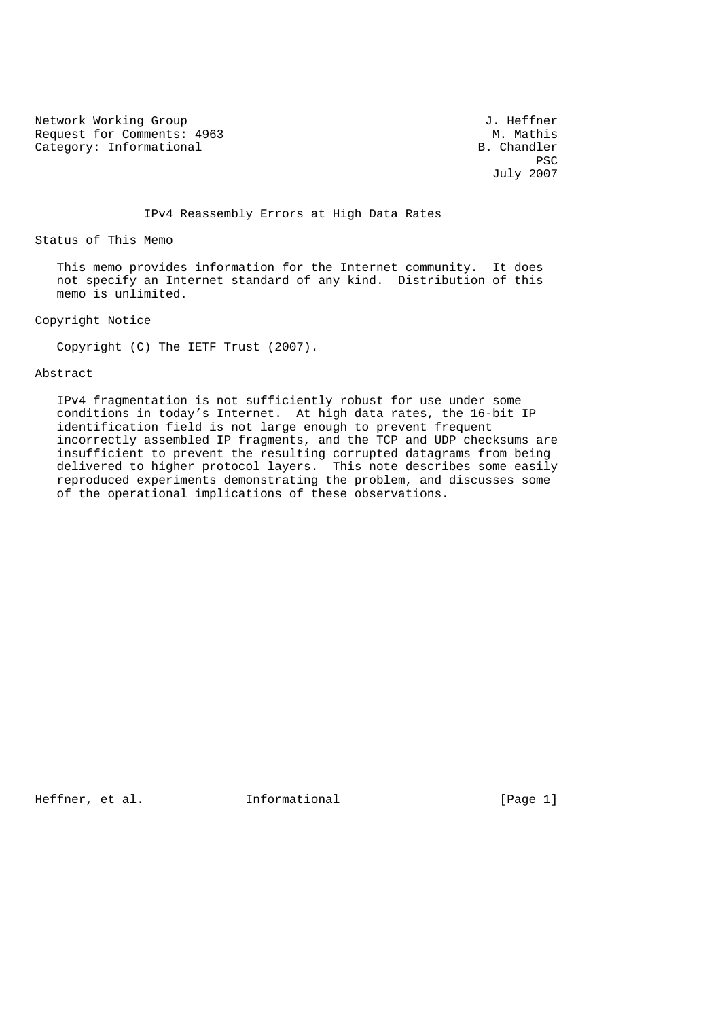Network Working Group<br>Request for Comments: 4963 Request for Comments: 4963 M. Mathis<br>
Category: Informational B. Chandler Category: Informational

**PSC PSC** July 2007

IPv4 Reassembly Errors at High Data Rates

Status of This Memo

 This memo provides information for the Internet community. It does not specify an Internet standard of any kind. Distribution of this memo is unlimited.

Copyright Notice

Copyright (C) The IETF Trust (2007).

Abstract

 IPv4 fragmentation is not sufficiently robust for use under some conditions in today's Internet. At high data rates, the 16-bit IP identification field is not large enough to prevent frequent incorrectly assembled IP fragments, and the TCP and UDP checksums are insufficient to prevent the resulting corrupted datagrams from being delivered to higher protocol layers. This note describes some easily reproduced experiments demonstrating the problem, and discusses some of the operational implications of these observations.

Heffner, et al. 1nformational 1999 [Page 1]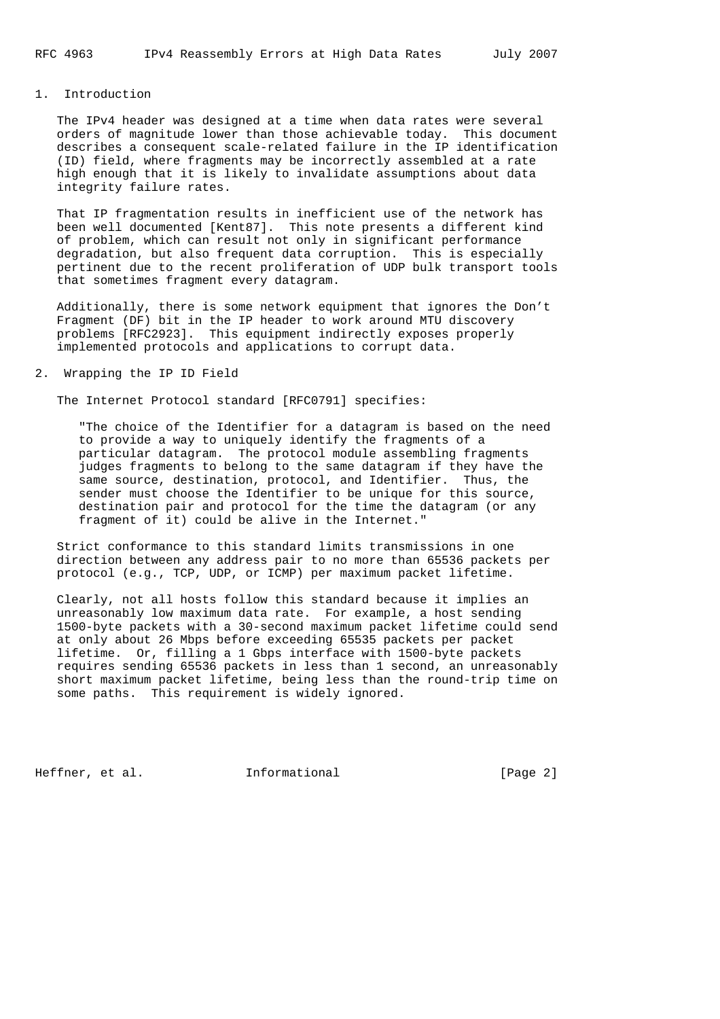# 1. Introduction

 The IPv4 header was designed at a time when data rates were several orders of magnitude lower than those achievable today. This document describes a consequent scale-related failure in the IP identification (ID) field, where fragments may be incorrectly assembled at a rate high enough that it is likely to invalidate assumptions about data integrity failure rates.

 That IP fragmentation results in inefficient use of the network has been well documented [Kent87]. This note presents a different kind of problem, which can result not only in significant performance degradation, but also frequent data corruption. This is especially pertinent due to the recent proliferation of UDP bulk transport tools that sometimes fragment every datagram.

 Additionally, there is some network equipment that ignores the Don't Fragment (DF) bit in the IP header to work around MTU discovery problems [RFC2923]. This equipment indirectly exposes properly implemented protocols and applications to corrupt data.

#### 2. Wrapping the IP ID Field

The Internet Protocol standard [RFC0791] specifies:

 "The choice of the Identifier for a datagram is based on the need to provide a way to uniquely identify the fragments of a particular datagram. The protocol module assembling fragments judges fragments to belong to the same datagram if they have the same source, destination, protocol, and Identifier. Thus, the sender must choose the Identifier to be unique for this source, destination pair and protocol for the time the datagram (or any fragment of it) could be alive in the Internet."

 Strict conformance to this standard limits transmissions in one direction between any address pair to no more than 65536 packets per protocol (e.g., TCP, UDP, or ICMP) per maximum packet lifetime.

 Clearly, not all hosts follow this standard because it implies an unreasonably low maximum data rate. For example, a host sending 1500-byte packets with a 30-second maximum packet lifetime could send at only about 26 Mbps before exceeding 65535 packets per packet lifetime. Or, filling a 1 Gbps interface with 1500-byte packets requires sending 65536 packets in less than 1 second, an unreasonably short maximum packet lifetime, being less than the round-trip time on some paths. This requirement is widely ignored.

Heffner, et al. 1nformational 1999 [Page 2]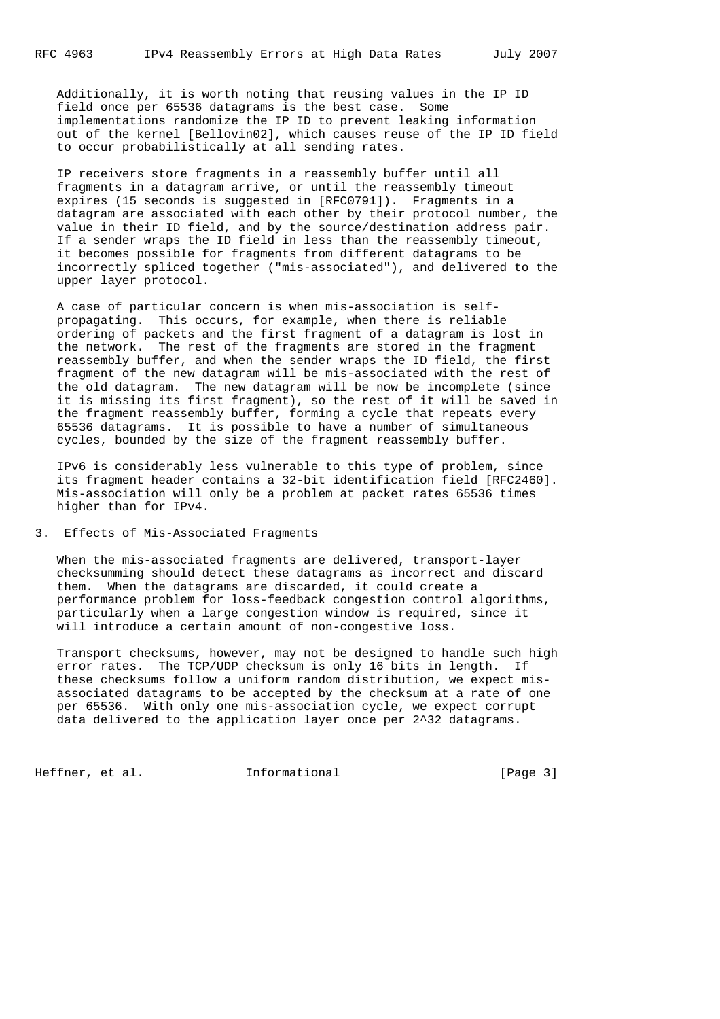Additionally, it is worth noting that reusing values in the IP ID field once per 65536 datagrams is the best case. Some implementations randomize the IP ID to prevent leaking information out of the kernel [Bellovin02], which causes reuse of the IP ID field to occur probabilistically at all sending rates.

 IP receivers store fragments in a reassembly buffer until all fragments in a datagram arrive, or until the reassembly timeout expires (15 seconds is suggested in [RFC0791]). Fragments in a datagram are associated with each other by their protocol number, the value in their ID field, and by the source/destination address pair. If a sender wraps the ID field in less than the reassembly timeout, it becomes possible for fragments from different datagrams to be incorrectly spliced together ("mis-associated"), and delivered to the upper layer protocol.

 A case of particular concern is when mis-association is self propagating. This occurs, for example, when there is reliable ordering of packets and the first fragment of a datagram is lost in the network. The rest of the fragments are stored in the fragment reassembly buffer, and when the sender wraps the ID field, the first fragment of the new datagram will be mis-associated with the rest of the old datagram. The new datagram will be now be incomplete (since it is missing its first fragment), so the rest of it will be saved in the fragment reassembly buffer, forming a cycle that repeats every 65536 datagrams. It is possible to have a number of simultaneous cycles, bounded by the size of the fragment reassembly buffer.

 IPv6 is considerably less vulnerable to this type of problem, since its fragment header contains a 32-bit identification field [RFC2460]. Mis-association will only be a problem at packet rates 65536 times higher than for IPv4.

3. Effects of Mis-Associated Fragments

 When the mis-associated fragments are delivered, transport-layer checksumming should detect these datagrams as incorrect and discard them. When the datagrams are discarded, it could create a performance problem for loss-feedback congestion control algorithms, particularly when a large congestion window is required, since it will introduce a certain amount of non-congestive loss.

 Transport checksums, however, may not be designed to handle such high error rates. The TCP/UDP checksum is only 16 bits in length. If these checksums follow a uniform random distribution, we expect mis associated datagrams to be accepted by the checksum at a rate of one per 65536. With only one mis-association cycle, we expect corrupt data delivered to the application layer once per 2^32 datagrams.

Heffner, et al. 1nformational 1999 [Page 3]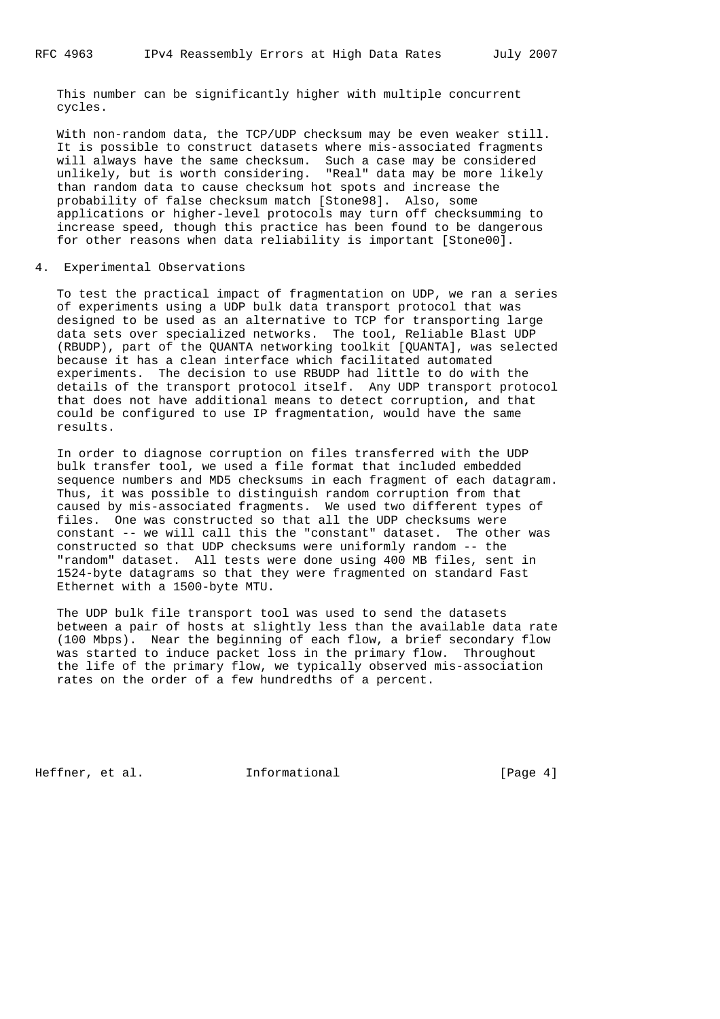This number can be significantly higher with multiple concurrent cycles.

 With non-random data, the TCP/UDP checksum may be even weaker still. It is possible to construct datasets where mis-associated fragments will always have the same checksum. Such a case may be considered unlikely, but is worth considering. "Real" data may be more likely than random data to cause checksum hot spots and increase the probability of false checksum match [Stone98]. Also, some applications or higher-level protocols may turn off checksumming to increase speed, though this practice has been found to be dangerous for other reasons when data reliability is important [Stone00].

4. Experimental Observations

 To test the practical impact of fragmentation on UDP, we ran a series of experiments using a UDP bulk data transport protocol that was designed to be used as an alternative to TCP for transporting large data sets over specialized networks. The tool, Reliable Blast UDP (RBUDP), part of the QUANTA networking toolkit [QUANTA], was selected because it has a clean interface which facilitated automated experiments. The decision to use RBUDP had little to do with the details of the transport protocol itself. Any UDP transport protocol that does not have additional means to detect corruption, and that could be configured to use IP fragmentation, would have the same results.

 In order to diagnose corruption on files transferred with the UDP bulk transfer tool, we used a file format that included embedded sequence numbers and MD5 checksums in each fragment of each datagram. Thus, it was possible to distinguish random corruption from that caused by mis-associated fragments. We used two different types of files. One was constructed so that all the UDP checksums were constant -- we will call this the "constant" dataset. The other was constructed so that UDP checksums were uniformly random -- the "random" dataset. All tests were done using 400 MB files, sent in 1524-byte datagrams so that they were fragmented on standard Fast Ethernet with a 1500-byte MTU.

 The UDP bulk file transport tool was used to send the datasets between a pair of hosts at slightly less than the available data rate (100 Mbps). Near the beginning of each flow, a brief secondary flow was started to induce packet loss in the primary flow. Throughout the life of the primary flow, we typically observed mis-association rates on the order of a few hundredths of a percent.

Heffner, et al. 1nformational 1999 [Page 4]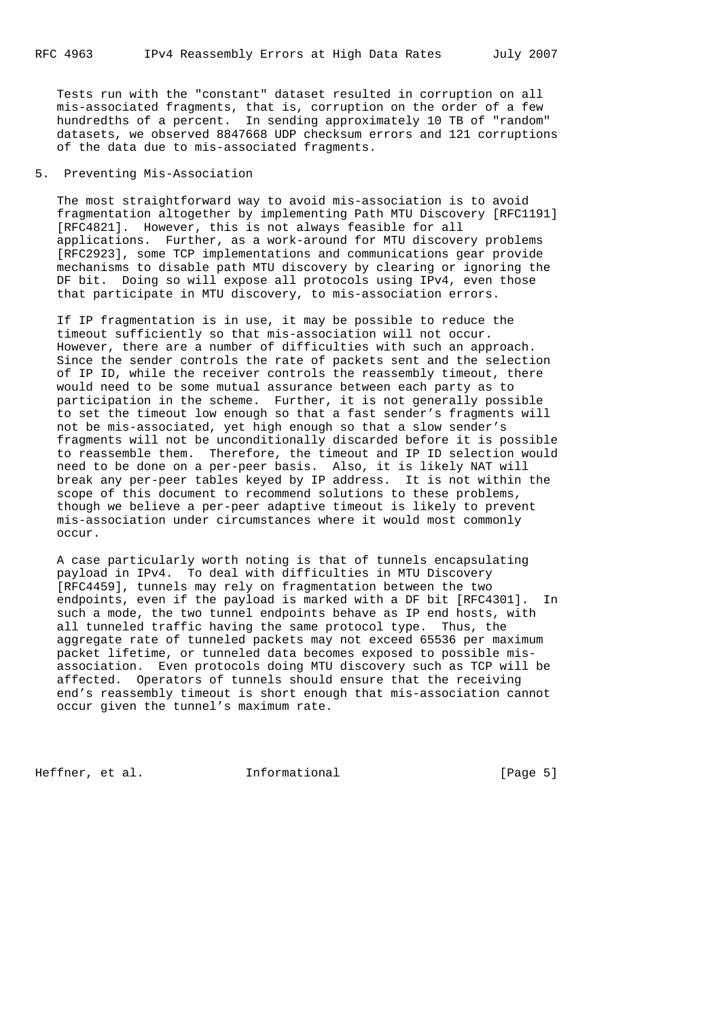Tests run with the "constant" dataset resulted in corruption on all mis-associated fragments, that is, corruption on the order of a few hundredths of a percent. In sending approximately 10 TB of "random" datasets, we observed 8847668 UDP checksum errors and 121 corruptions of the data due to mis-associated fragments.

# 5. Preventing Mis-Association

 The most straightforward way to avoid mis-association is to avoid fragmentation altogether by implementing Path MTU Discovery [RFC1191] [RFC4821]. However, this is not always feasible for all applications. Further, as a work-around for MTU discovery problems [RFC2923], some TCP implementations and communications gear provide mechanisms to disable path MTU discovery by clearing or ignoring the DF bit. Doing so will expose all protocols using IPv4, even those that participate in MTU discovery, to mis-association errors.

 If IP fragmentation is in use, it may be possible to reduce the timeout sufficiently so that mis-association will not occur. However, there are a number of difficulties with such an approach. Since the sender controls the rate of packets sent and the selection of IP ID, while the receiver controls the reassembly timeout, there would need to be some mutual assurance between each party as to participation in the scheme. Further, it is not generally possible to set the timeout low enough so that a fast sender's fragments will not be mis-associated, yet high enough so that a slow sender's fragments will not be unconditionally discarded before it is possible to reassemble them. Therefore, the timeout and IP ID selection would need to be done on a per-peer basis. Also, it is likely NAT will break any per-peer tables keyed by IP address. It is not within the scope of this document to recommend solutions to these problems, though we believe a per-peer adaptive timeout is likely to prevent mis-association under circumstances where it would most commonly occur.

 A case particularly worth noting is that of tunnels encapsulating payload in IPv4. To deal with difficulties in MTU Discovery [RFC4459], tunnels may rely on fragmentation between the two endpoints, even if the payload is marked with a DF bit [RFC4301]. In such a mode, the two tunnel endpoints behave as IP end hosts, with all tunneled traffic having the same protocol type. Thus, the aggregate rate of tunneled packets may not exceed 65536 per maximum packet lifetime, or tunneled data becomes exposed to possible mis association. Even protocols doing MTU discovery such as TCP will be affected. Operators of tunnels should ensure that the receiving end's reassembly timeout is short enough that mis-association cannot occur given the tunnel's maximum rate.

Heffner, et al. 1nformational 1999 [Page 5]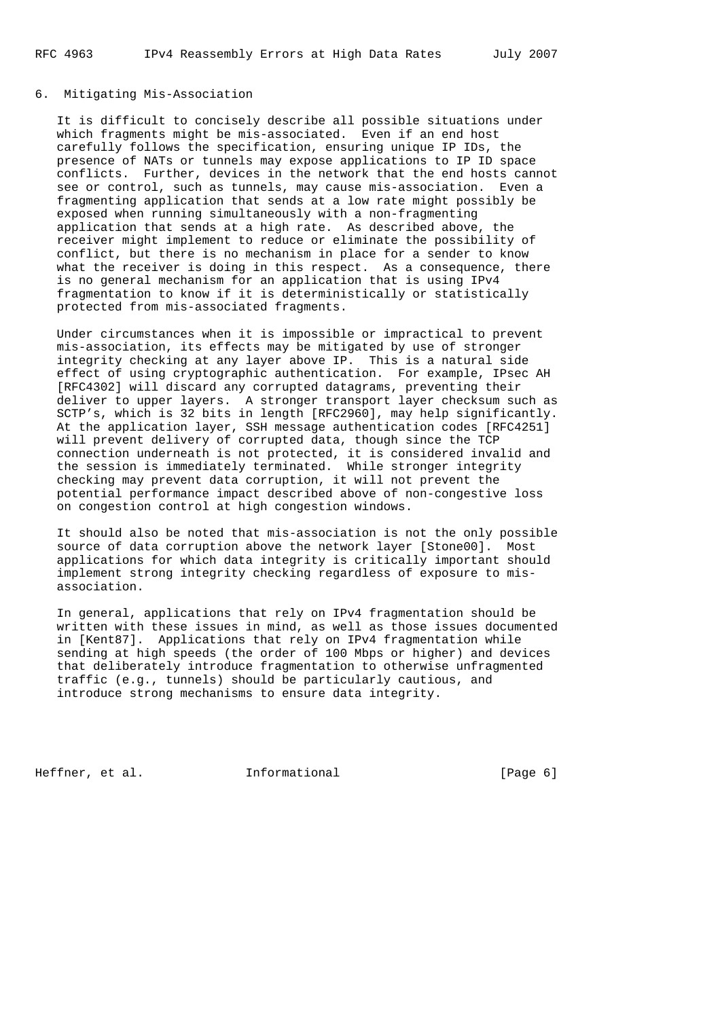## 6. Mitigating Mis-Association

 It is difficult to concisely describe all possible situations under which fragments might be mis-associated. Even if an end host carefully follows the specification, ensuring unique IP IDs, the presence of NATs or tunnels may expose applications to IP ID space conflicts. Further, devices in the network that the end hosts cannot see or control, such as tunnels, may cause mis-association. Even a fragmenting application that sends at a low rate might possibly be exposed when running simultaneously with a non-fragmenting application that sends at a high rate. As described above, the receiver might implement to reduce or eliminate the possibility of conflict, but there is no mechanism in place for a sender to know what the receiver is doing in this respect. As a consequence, there is no general mechanism for an application that is using IPv4 fragmentation to know if it is deterministically or statistically protected from mis-associated fragments.

 Under circumstances when it is impossible or impractical to prevent mis-association, its effects may be mitigated by use of stronger integrity checking at any layer above IP. This is a natural side effect of using cryptographic authentication. For example, IPsec AH [RFC4302] will discard any corrupted datagrams, preventing their deliver to upper layers. A stronger transport layer checksum such as SCTP's, which is 32 bits in length [RFC2960], may help significantly. At the application layer, SSH message authentication codes [RFC4251] will prevent delivery of corrupted data, though since the TCP connection underneath is not protected, it is considered invalid and the session is immediately terminated. While stronger integrity checking may prevent data corruption, it will not prevent the potential performance impact described above of non-congestive loss on congestion control at high congestion windows.

 It should also be noted that mis-association is not the only possible source of data corruption above the network layer [Stone00]. Most applications for which data integrity is critically important should implement strong integrity checking regardless of exposure to mis association.

 In general, applications that rely on IPv4 fragmentation should be written with these issues in mind, as well as those issues documented in [Kent87]. Applications that rely on IPv4 fragmentation while sending at high speeds (the order of 100 Mbps or higher) and devices that deliberately introduce fragmentation to otherwise unfragmented traffic (e.g., tunnels) should be particularly cautious, and introduce strong mechanisms to ensure data integrity.

Heffner, et al. **Informational** [Page 6]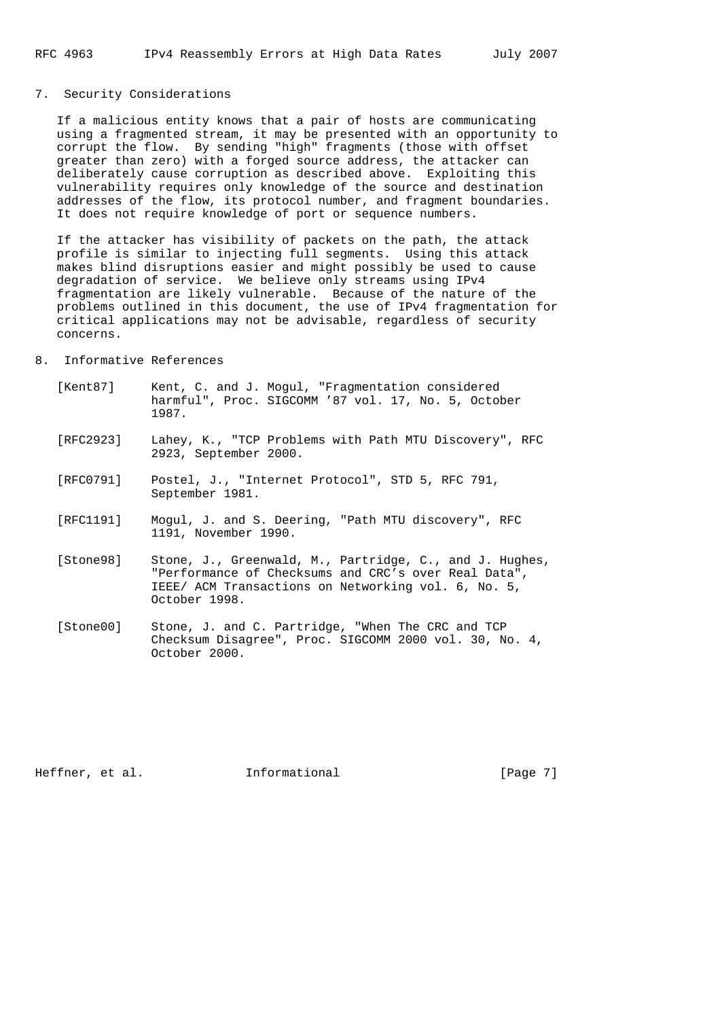### 7. Security Considerations

 If a malicious entity knows that a pair of hosts are communicating using a fragmented stream, it may be presented with an opportunity to corrupt the flow. By sending "high" fragments (those with offset greater than zero) with a forged source address, the attacker can deliberately cause corruption as described above. Exploiting this vulnerability requires only knowledge of the source and destination addresses of the flow, its protocol number, and fragment boundaries. It does not require knowledge of port or sequence numbers.

 If the attacker has visibility of packets on the path, the attack profile is similar to injecting full segments. Using this attack makes blind disruptions easier and might possibly be used to cause degradation of service. We believe only streams using IPv4 fragmentation are likely vulnerable. Because of the nature of the problems outlined in this document, the use of IPv4 fragmentation for critical applications may not be advisable, regardless of security concerns.

#### 8. Informative References

| [Kent87] |                                                     | Kent, C. and J. Mogul, "Fragmentation considered |  |  |  |  |  |  |  |
|----------|-----------------------------------------------------|--------------------------------------------------|--|--|--|--|--|--|--|
|          | harmful", Proc. SIGCOMM '87 vol. 17, No. 5, October |                                                  |  |  |  |  |  |  |  |
|          | 1987.                                               |                                                  |  |  |  |  |  |  |  |

- [RFC2923] Lahey, K., "TCP Problems with Path MTU Discovery", RFC 2923, September 2000.
- [RFC0791] Postel, J., "Internet Protocol", STD 5, RFC 791, September 1981.
- [RFC1191] Mogul, J. and S. Deering, "Path MTU discovery", RFC 1191, November 1990.
- [Stone98] Stone, J., Greenwald, M., Partridge, C., and J. Hughes, "Performance of Checksums and CRC's over Real Data", IEEE/ ACM Transactions on Networking vol. 6, No. 5, October 1998.
- [Stone00] Stone, J. and C. Partridge, "When The CRC and TCP Checksum Disagree", Proc. SIGCOMM 2000 vol. 30, No. 4, October 2000.

Heffner, et al. 1nformational 1999 [Page 7]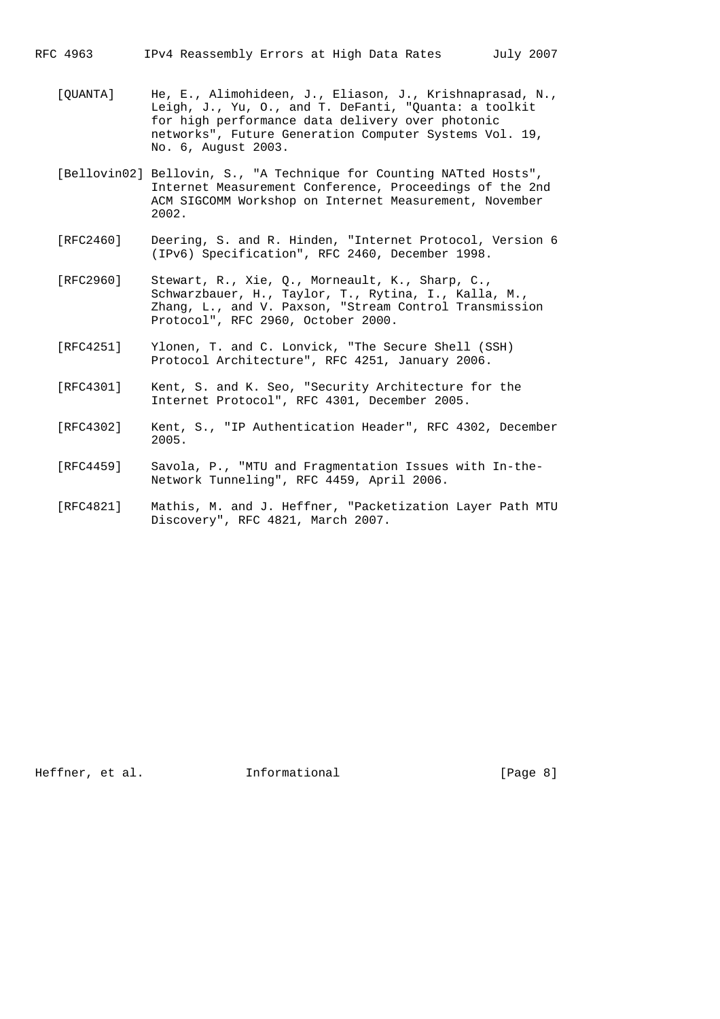RFC 4963 IPv4 Reassembly Errors at High Data Rates July 2007

- [QUANTA] He, E., Alimohideen, J., Eliason, J., Krishnaprasad, N., Leigh, J., Yu, O., and T. DeFanti, "Quanta: a toolkit for high performance data delivery over photonic networks", Future Generation Computer Systems Vol. 19, No. 6, August 2003.
- [Bellovin02] Bellovin, S., "A Technique for Counting NATted Hosts", Internet Measurement Conference, Proceedings of the 2nd ACM SIGCOMM Workshop on Internet Measurement, November 2002.
- [RFC2460] Deering, S. and R. Hinden, "Internet Protocol, Version 6 (IPv6) Specification", RFC 2460, December 1998.
- [RFC2960] Stewart, R., Xie, Q., Morneault, K., Sharp, C., Schwarzbauer, H., Taylor, T., Rytina, I., Kalla, M., Zhang, L., and V. Paxson, "Stream Control Transmission Protocol", RFC 2960, October 2000.
	- [RFC4251] Ylonen, T. and C. Lonvick, "The Secure Shell (SSH) Protocol Architecture", RFC 4251, January 2006.
	- [RFC4301] Kent, S. and K. Seo, "Security Architecture for the Internet Protocol", RFC 4301, December 2005.
	- [RFC4302] Kent, S., "IP Authentication Header", RFC 4302, December 2005.
	- [RFC4459] Savola, P., "MTU and Fragmentation Issues with In-the- Network Tunneling", RFC 4459, April 2006.
	- [RFC4821] Mathis, M. and J. Heffner, "Packetization Layer Path MTU Discovery", RFC 4821, March 2007.

Heffner, et al. 1nformational 1999 [Page 8]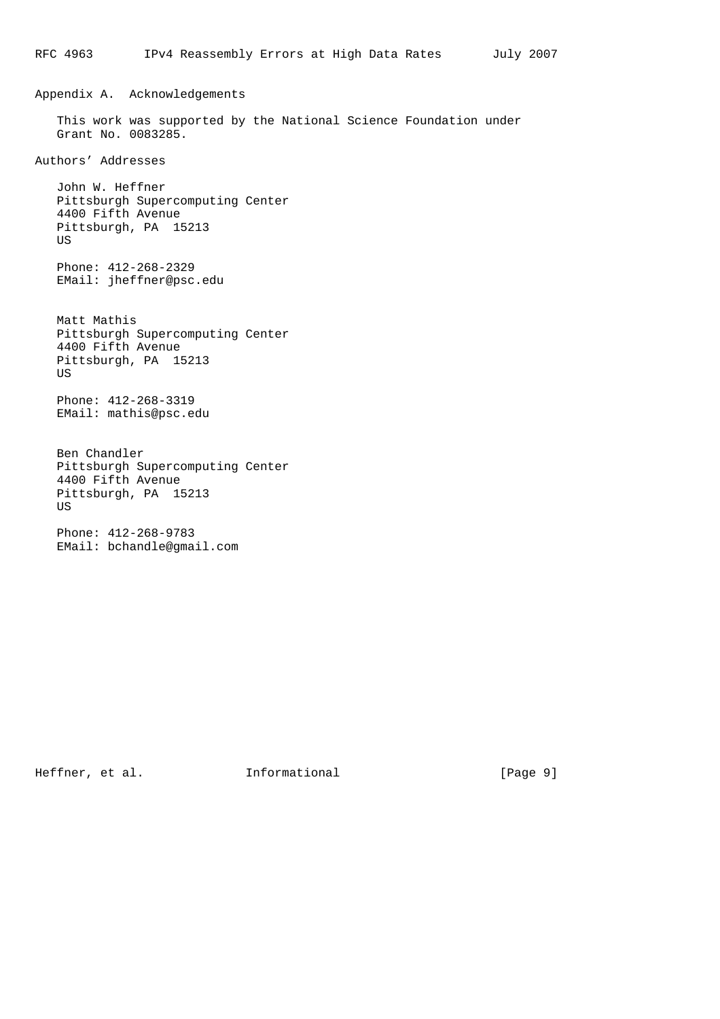Appendix A. Acknowledgements

 This work was supported by the National Science Foundation under Grant No. 0083285.

Authors' Addresses

 John W. Heffner Pittsburgh Supercomputing Center 4400 Fifth Avenue Pittsburgh, PA 15213 US

 Phone: 412-268-2329 EMail: jheffner@psc.edu

 Matt Mathis Pittsburgh Supercomputing Center 4400 Fifth Avenue Pittsburgh, PA 15213 US Phone: 412-268-3319

EMail: mathis@psc.edu

 Ben Chandler Pittsburgh Supercomputing Center 4400 Fifth Avenue Pittsburgh, PA 15213 US

 Phone: 412-268-9783 EMail: bchandle@gmail.com

Heffner, et al. 1nformational [Page 9]